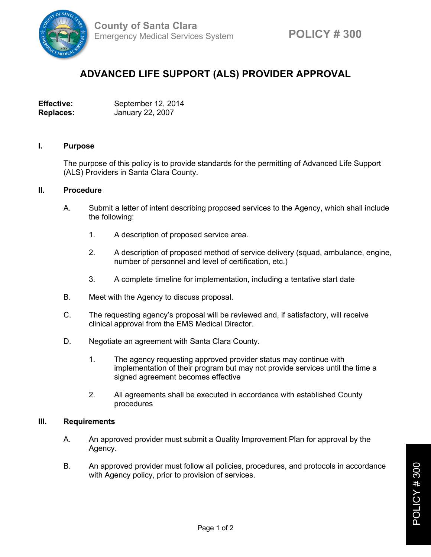

# **ADVANCED LIFE SUPPORT (ALS) PROVIDER APPROVAL**

**Effective:** September 12, 2014 **Replaces:** January 22, 2007

### **I. Purpose**

The purpose of this policy is to provide standards for the permitting of Advanced Life Support (ALS) Providers in Santa Clara County.

## **II. Procedure**

- A. Submit a letter of intent describing proposed services to the Agency, which shall include the following:
	- 1. A description of proposed service area.
	- 2. A description of proposed method of service delivery (squad, ambulance, engine, number of personnel and level of certification, etc.)
	- 3. A complete timeline for implementation, including a tentative start date
- B. Meet with the Agency to discuss proposal.
- C. The requesting agency's proposal will be reviewed and, if satisfactory, will receive clinical approval from the EMS Medical Director.
- D. Negotiate an agreement with Santa Clara County.
	- 1. The agency requesting approved provider status may continue with implementation of their program but may not provide services until the time a signed agreement becomes effective
	- 2. All agreements shall be executed in accordance with established County procedures

### **III. Requirements**

- A. An approved provider must submit a Quality Improvement Plan for approval by the Agency.
- B. An approved provider must follow all policies, procedures, and protocols in accordance with Agency policy, prior to provision of services.